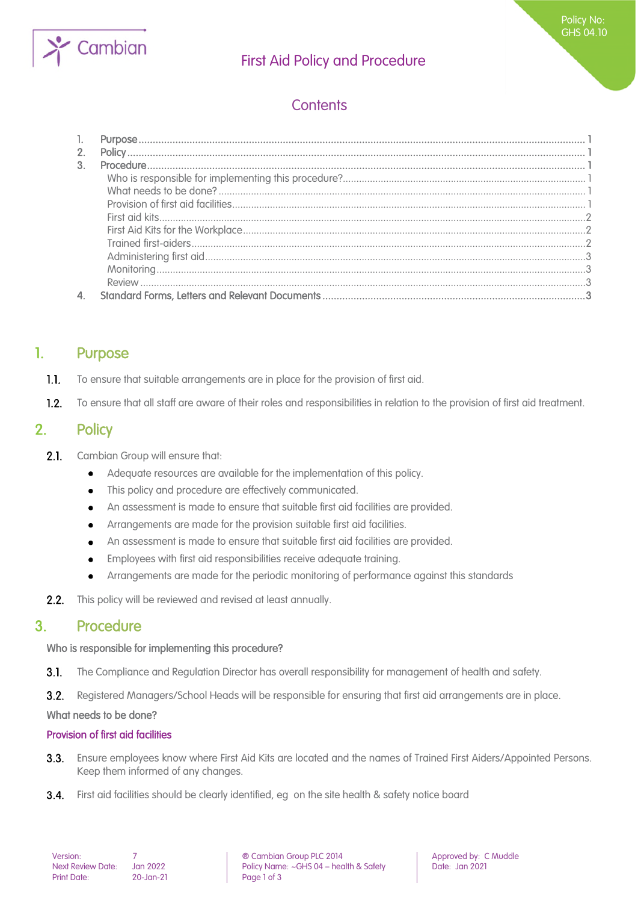

## First Aid Policy and Procedure

# **Contents**

## 1. Purpose

- $1.1.$ To ensure that suitable arrangements are in place for the provision of first aid.
- $1.2.$ To ensure that all staff are aware of their roles and responsibilities in relation to the provision of first aid treatment.

## 2. Policy

- $2.1.$ Cambian Group will ensure that:
	- Adequate resources are available for the implementation of this policy.
	- This policy and procedure are effectively communicated.
	- An assessment is made to ensure that suitable first aid facilities are provided.  $\bullet$
	- Arrangements are made for the provision suitable first aid facilities.  $\bullet$
	- An assessment is made to ensure that suitable first aid facilities are provided.
	- $\bullet$ Employees with first aid responsibilities receive adequate training.
	- Arrangements are made for the periodic monitoring of performance against this standards
- $2.2.$ This policy will be reviewed and revised at least annually.

### 3. Procedure

#### Who is responsible for implementing this procedure?

 $3.1.$ The Compliance and Regulation Director has overall responsibility for management of health and safety.

 $3.2.$ Registered Managers/School Heads will be responsible for ensuring that first aid arrangements are in place.

#### What needs to be done?

#### Provision of first aid facilities

- $3.3.$ Ensure employees know where First Aid Kits are located and the names of Trained First Aiders/Appointed Persons. Keep them informed of any changes.
- **3.4.** First aid facilities should be clearly identified, eg on the site health & safety notice board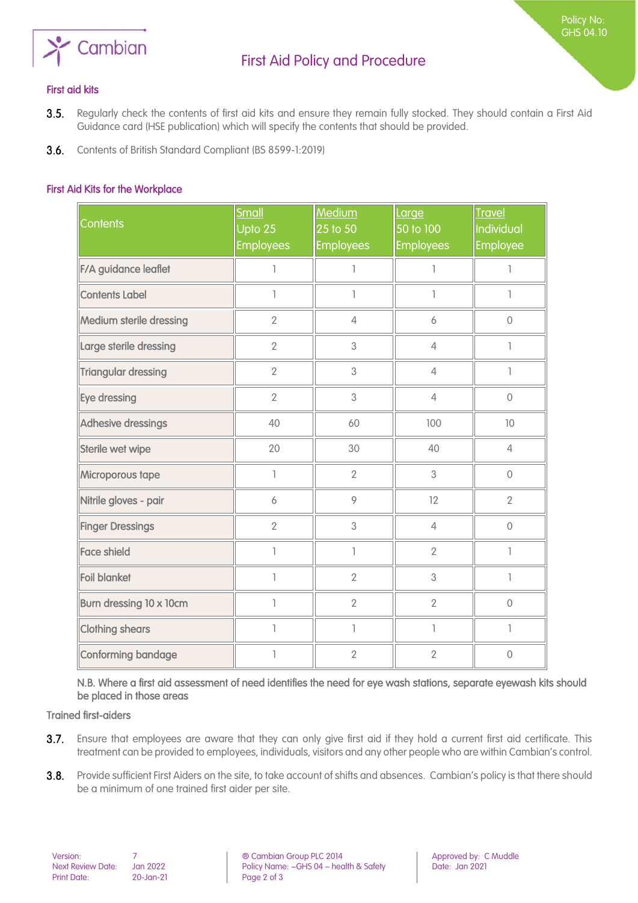

Policy No: GHS 04.10

#### First aid kits

- 3.5. Regularly check the contents of first aid kits and ensure they remain fully stocked. They should contain a First Aid Guidance card (HSE publication) which will specify the contents that should be provided.
- **3.6.** Contents of British Standard Compliant (BS 8599-1:2019)

#### First Aid Kits for the Workplace

| <b>Contents</b>            | Small<br>Upto 25<br><b>Employees</b> | Medium<br>25 to 50<br><b>Employees</b> | Large<br>50 to 100<br><b>Employees</b> | <b>Travel</b><br>Individual<br>Employee |
|----------------------------|--------------------------------------|----------------------------------------|----------------------------------------|-----------------------------------------|
| F/A guidance leaflet       | 1                                    | 1                                      | ı                                      | 1                                       |
| <b>Contents Label</b>      | 1                                    | $\overline{1}$                         | I.                                     | ı                                       |
| Medium sterile dressing    | $\overline{2}$                       | $\overline{4}$                         | 6                                      | $\overline{0}$                          |
| Large sterile dressing     | $\overline{2}$                       | 3                                      | $\overline{4}$                         |                                         |
| <b>Triangular dressing</b> | $\overline{2}$                       | 3                                      | $\overline{4}$                         |                                         |
| Eye dressing               | $\overline{2}$                       | 3                                      | $\overline{4}$                         | $\overline{0}$                          |
| Adhesive dressings         | 40                                   | 60                                     | 100                                    | 10                                      |
| Sterile wet wipe           | 20                                   | 30                                     | 40                                     | $\overline{4}$                          |
| Microporous tape           | 1                                    | $\overline{2}$                         | 3                                      | $\overline{0}$                          |
| Nitrile gloves - pair      | 6                                    | 9                                      | 12                                     | $\overline{2}$                          |
| <b>Finger Dressings</b>    | $\overline{2}$                       | 3                                      | $\overline{4}$                         | $\mathbf 0$                             |
| <b>Face shield</b>         | 1                                    | $\overline{1}$                         | $\overline{2}$                         | ı                                       |
| <b>Foil blanket</b>        | $\overline{\phantom{a}}$             | $\overline{2}$                         | 3                                      | ı                                       |
| Burn dressing 10 x 10cm    | 1                                    | $\overline{2}$                         | $\overline{2}$                         | $\overline{0}$                          |
| <b>Clothing shears</b>     | 1                                    | $\mathbb{I}$                           | L                                      | L                                       |
| Conforming bandage         |                                      | $\overline{2}$                         | $\overline{2}$                         | $\overline{0}$                          |

N.B. Where a first aid assessment of need identifies the need for eye wash stations, separate eyewash kits should be placed in those areas

#### Trained first-aiders

- 3.7. Ensure that employees are aware that they can only give first aid if they hold a current first aid certificate. This treatment can be provided to employees, individuals, visitors and any other people who are within Cambian's control.
- 3.8. Provide sufficient First Aiders on the site, to take account of shifts and absences. Cambian's policy is that there should be a minimum of one trained first aider per site.